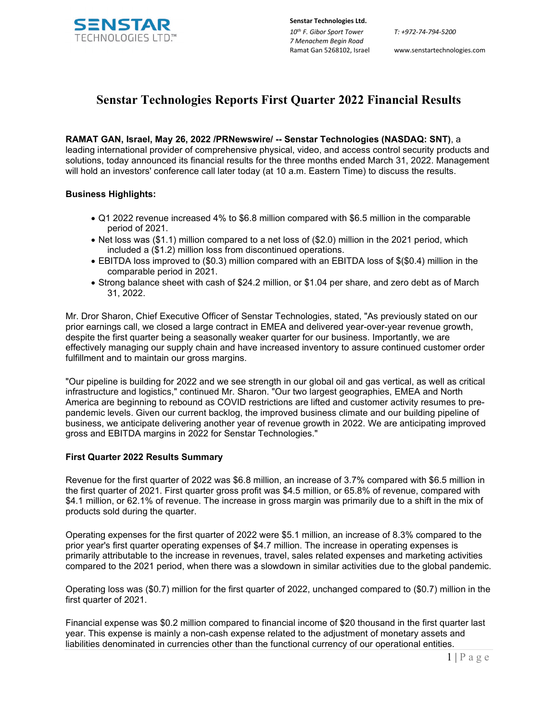

**Senstar Technologies Ltd.** *10th F. Gibor Sport Tower 7 Menachem Begin Road*  Ramat Gan 5268102, Israel www.senstartechnologies.com

*T: +972-74-794-5200*

# **Senstar Technologies Reports First Quarter 2022 Financial Results**

**RAMAT GAN, Israel, May 26, 2022 /PRNewswire/ -- Senstar Technologies (NASDAQ: SNT)**, a leading international provider of comprehensive physical, video, and access control security products and solutions, today announced its financial results for the three months ended March 31, 2022. Management will hold an investors' conference call later today (at 10 a.m. Eastern Time) to discuss the results.

# **Business Highlights:**

- Q1 2022 revenue increased 4% to \$6.8 million compared with \$6.5 million in the comparable period of 2021.
- Net loss was (\$1.1) million compared to a net loss of (\$2.0) million in the 2021 period, which included a (\$1.2) million loss from discontinued operations.
- EBITDA loss improved to (\$0.3) million compared with an EBITDA loss of \$(\$0.4) million in the comparable period in 2021.
- Strong balance sheet with cash of \$24.2 million, or \$1.04 per share, and zero debt as of March 31, 2022.

Mr. Dror Sharon, Chief Executive Officer of Senstar Technologies, stated, "As previously stated on our prior earnings call, we closed a large contract in EMEA and delivered year-over-year revenue growth, despite the first quarter being a seasonally weaker quarter for our business. Importantly, we are effectively managing our supply chain and have increased inventory to assure continued customer order fulfillment and to maintain our gross margins.

"Our pipeline is building for 2022 and we see strength in our global oil and gas vertical, as well as critical infrastructure and logistics," continued Mr. Sharon. "Our two largest geographies, EMEA and North America are beginning to rebound as COVID restrictions are lifted and customer activity resumes to prepandemic levels. Given our current backlog, the improved business climate and our building pipeline of business, we anticipate delivering another year of revenue growth in 2022. We are anticipating improved gross and EBITDA margins in 2022 for Senstar Technologies."

# **First Quarter 2022 Results Summary**

Revenue for the first quarter of 2022 was \$6.8 million, an increase of 3.7% compared with \$6.5 million in the first quarter of 2021. First quarter gross profit was \$4.5 million, or 65.8% of revenue, compared with \$4.1 million, or 62.1% of revenue. The increase in gross margin was primarily due to a shift in the mix of products sold during the quarter.

Operating expenses for the first quarter of 2022 were \$5.1 million, an increase of 8.3% compared to the prior year's first quarter operating expenses of \$4.7 million. The increase in operating expenses is primarily attributable to the increase in revenues, travel, sales related expenses and marketing activities compared to the 2021 period, when there was a slowdown in similar activities due to the global pandemic.

Operating loss was (\$0.7) million for the first quarter of 2022, unchanged compared to (\$0.7) million in the first quarter of 2021.

Financial expense was \$0.2 million compared to financial income of \$20 thousand in the first quarter last year. This expense is mainly a non-cash expense related to the adjustment of monetary assets and liabilities denominated in currencies other than the functional currency of our operational entities.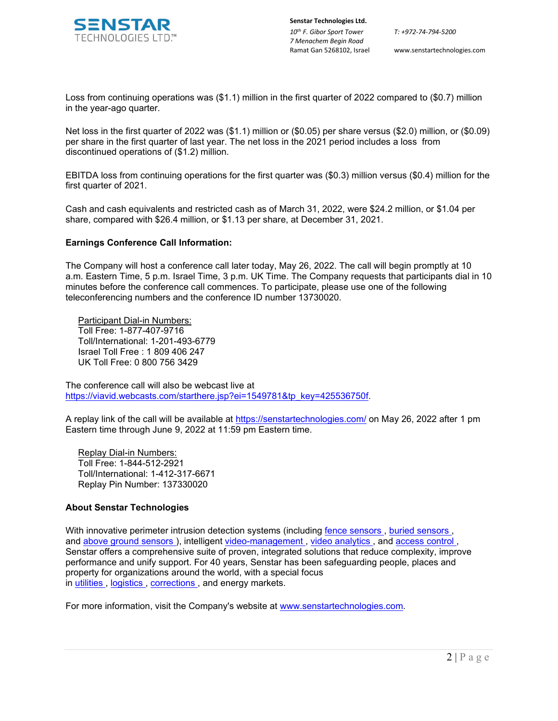

**Senstar Technologies Ltd.** *10th F. Gibor Sport Tower 7 Menachem Begin Road* 

*T: +972-74-794-5200*

Ramat Gan 5268102, Israel www.senstartechnologies.com

Loss from continuing operations was (\$1.1) million in the first quarter of 2022 compared to (\$0.7) million in the year-ago quarter.

Net loss in the first quarter of 2022 was (\$1.1) million or (\$0.05) per share versus (\$2.0) million, or (\$0.09) per share in the first quarter of last year. The net loss in the 2021 period includes a loss from discontinued operations of (\$1.2) million.

EBITDA loss from continuing operations for the first quarter was (\$0.3) million versus (\$0.4) million for the first quarter of 2021.

Cash and cash equivalents and restricted cash as of March 31, 2022, were \$24.2 million, or \$1.04 per share, compared with \$26.4 million, or \$1.13 per share, at December 31, 2021.

### **Earnings Conference Call Information:**

The Company will host a conference call later today, May 26, 2022. The call will begin promptly at 10 a.m. Eastern Time, 5 p.m. Israel Time, 3 p.m. UK Time. The Company requests that participants dial in 10 minutes before the conference call commences. To participate, please use one of the following teleconferencing numbers and the conference ID number 13730020.

 Participant Dial-in Numbers: Toll Free: 1-877-407-9716 Toll/International: 1-201-493-6779 Israel Toll Free : 1 809 406 247 UK Toll Free: 0 800 756 3429

The conference call will also be webcast live at [https://viavid.webcasts.com/starthere.jsp?ei=1549781&tp\\_key=425536750f.](https://viavid.webcasts.com/starthere.jsp?ei=1549781&tp_key=425536750f)

A replay link of the call will be available at <https://senstartechnologies.com/> on May 26, 2022 after 1 pm Eastern time through June 9, 2022 at 11:59 pm Eastern time.

 Replay Dial-in Numbers: Toll Free: 1-844-512-2921 Toll/International: 1-412-317-6671 Replay Pin Number: 137330020

# **About Senstar Technologies**

With innovative perimeter intrusion detection systems (including [fence sensors](https://senstar.com/products/fence-sensors/) , [buried sensors](https://senstar.com/products/buried-sensors/) , and [above ground sensors](https://senstar.com/products/above-ground-sensors/) ), intelligent [video-management](https://senstar.com/products/video-management/) , [video analytics](https://senstar.com/products/video-analytics/) , and [access control](https://senstar.com/products/access-control/symphony-ac/) , Senstar offers a comprehensive suite of proven, integrated solutions that reduce complexity, improve performance and unify support. For 40 years, Senstar has been safeguarding people, places and property for organizations around the world, with a special focus in [utilities](https://senstar.com/use-cases/electrical-utilities/) , [logistics](https://senstar.com/use-cases/manufacturing-and-logistics/) , [corrections](https://senstar.com/use-cases/corrections/) , and energy markets.

For more information, visit the Company's website at [www.senstartechnologies.com.](http://www.senstartechnologies.com/)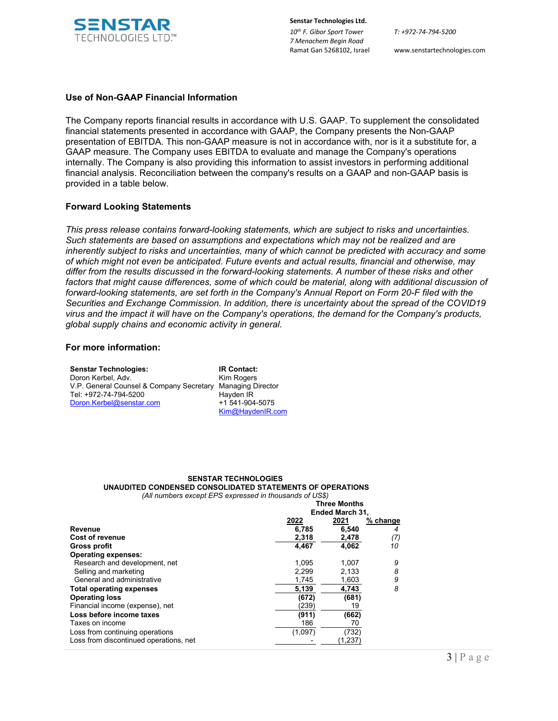

**Senstar Technologies Ltd.** *10th F. Gibor Sport Tower 7 Menachem Begin Road*  Ramat Gan 5268102, Israel www.senstartechnologies.com

### **Use of Non-GAAP Financial Information**

The Company reports financial results in accordance with U.S. GAAP. To supplement the consolidated financial statements presented in accordance with GAAP, the Company presents the Non-GAAP presentation of EBITDA. This non-GAAP measure is not in accordance with, nor is it a substitute for, a GAAP measure. The Company uses EBITDA to evaluate and manage the Company's operations internally. The Company is also providing this information to assist investors in performing additional financial analysis. Reconciliation between the company's results on a GAAP and non-GAAP basis is provided in a table below.

### **Forward Looking Statements**

*This press release contains forward-looking statements, which are subject to risks and uncertainties. Such statements are based on assumptions and expectations which may not be realized and are inherently subject to risks and uncertainties, many of which cannot be predicted with accuracy and some of which might not even be anticipated. Future events and actual results, financial and otherwise, may differ from the results discussed in the forward-looking statements. A number of these risks and other*  factors that might cause differences, some of which could be material, along with additional discussion of *forward-looking statements, are set forth in the Company's Annual Report on Form 20-F filed with the Securities and Exchange Commission. In addition, there is uncertainty about the spread of the COVID19 virus and the impact it will have on the Company's operations, the demand for the Company's products, global supply chains and economic activity in general.*

### **For more information:**

| <b>Senstar Technologies:</b>             | <b>IR Contact:</b>       |
|------------------------------------------|--------------------------|
| Doron Kerbel, Adv.                       | <b>Kim Rogers</b>        |
| V.P. General Counsel & Company Secretary | <b>Managing Director</b> |
| Tel: +972-74-794-5200                    | Hayden IR                |
| Doron.Kerbel@senstar.com                 | +1 541-904-5075          |
|                                          | Kim@HaydenIR.com         |

#### **SENSTAR TECHNOLOGIES UNAUDITED CONDENSED CONSOLIDATED STATEMENTS OF OPERATIONS** *(All numbers except EPS expressed in thousands of US\$)*

|                                        | <b>Three Months</b> |                        |            |
|----------------------------------------|---------------------|------------------------|------------|
|                                        |                     | <b>Ended March 31,</b> |            |
|                                        | 2022                | 2021                   | $%$ change |
| Revenue                                | 6,785               | 6,540                  | 4          |
| <b>Cost of revenue</b>                 | 2,318               | 2,478                  | (7)        |
| Gross profit                           | 4,467               | 4.062                  | 10         |
| <b>Operating expenses:</b>             |                     |                        |            |
| Research and development, net          | 1.095               | 1.007                  | 9          |
| Selling and marketing                  | 2.299               | 2,133                  | 8          |
| General and administrative             | 1,745               | 1,603                  | 9          |
| <b>Total operating expenses</b>        | 5,139               | 4.743                  | 8          |
| <b>Operating loss</b>                  | (672)               | (681)                  |            |
| Financial income (expense), net        | (239)               | 19                     |            |
| Loss before income taxes               | (911)               | (662)                  |            |
| Taxes on income                        | 186                 | 70                     |            |
| Loss from continuing operations        | (1,097)             | (732)                  |            |
| Loss from discontinued operations, net |                     | (1, 237)               |            |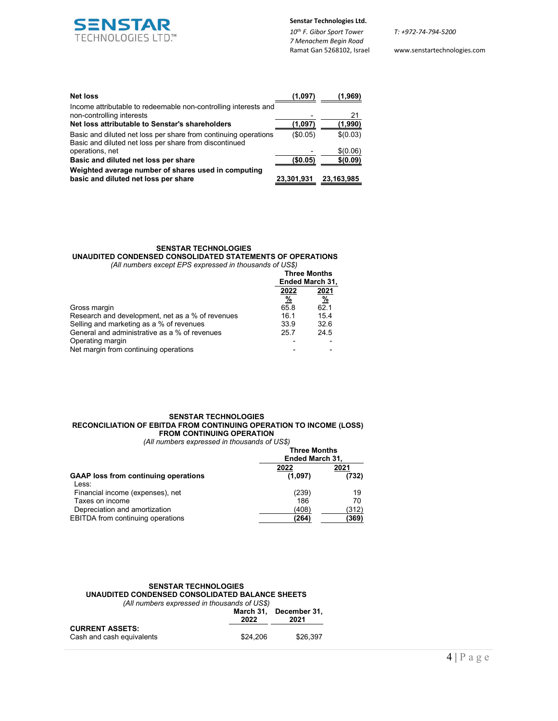

**Senstar Technologies Ltd.**

*10th F. Gibor Sport Tower 7 Menachem Begin Road* 

**2022 2021**

Ramat Gan 5268102, Israel www.senstartechnologies.com

| <b>Net loss</b>                                                                                                           | (1.097     | (1.969)    |
|---------------------------------------------------------------------------------------------------------------------------|------------|------------|
| Income attributable to redeemable non-controlling interests and<br>non-controlling interests                              |            | 21         |
| Net loss attributable to Senstar's shareholders                                                                           | (1,097)    | (1,990)    |
| Basic and diluted net loss per share from continuing operations<br>Basic and diluted net loss per share from discontinued | (\$0.05)   | \$(0.03)   |
| operations, net                                                                                                           |            | \$(0.06)   |
| Basic and diluted net loss per share                                                                                      | (\$0.05)   | \$(0.09)   |
| Weighted average number of shares used in computing<br>basic and diluted net loss per share                               | 23,301,931 | 23,163,985 |

# **SENSTAR TECHNOLOGIES**

**UNAUDITED CONDENSED CONSOLIDATED STATEMENTS OF OPERATIONS** *(All numbers except EPS expressed in thousands of US\$)*

| <b>Three Months</b><br>Ended March 31, |                              |
|----------------------------------------|------------------------------|
| 2022                                   | 2021                         |
| $\frac{9}{6}$                          | <u>%</u>                     |
|                                        | 62.1                         |
|                                        | 15.4                         |
|                                        | 32.6                         |
|                                        | 24.5                         |
|                                        |                              |
|                                        |                              |
|                                        | 65.8<br>16.1<br>33.9<br>25.7 |

#### **SENSTAR TECHNOLOGIES RECONCILIATION OF EBITDA FROM CONTINUING OPERATION TO INCOME (LOSS) FROM CONTINUING OPERATION** *(All numbers expressed in thousands of US\$)*

|                                 | <b>Three Months</b>    |          |
|---------------------------------|------------------------|----------|
|                                 | <b>Ended March 31,</b> |          |
|                                 | 2022                   | 20<br>__ |
| aaa fuama aantinulna anavatiana | (4.007)                |          |

| <b>GAAP</b> loss from continuing operations | (1,097) | (732) |  |
|---------------------------------------------|---------|-------|--|
| Less:                                       |         |       |  |
| Financial income (expenses), net            | (239)   | 19    |  |
| Taxes on income                             | 186     | 70    |  |
| Depreciation and amortization               | (408)   | (312) |  |
| <b>EBITDA</b> from continuing operations    | (264)   | (369) |  |

#### **SENSTAR TECHNOLOGIES UNAUDITED CONDENSED CONSOLIDATED BALANCE SHEETS** *(All numbers expressed in thousands of US\$)* **March 31, December 31,<br>2022 2021 2022 2021**

|                           | LULL     | ZUZ I    |
|---------------------------|----------|----------|
| <b>CURRENT ASSETS:</b>    |          |          |
| Cash and cash equivalents | \$24.206 | \$26.397 |